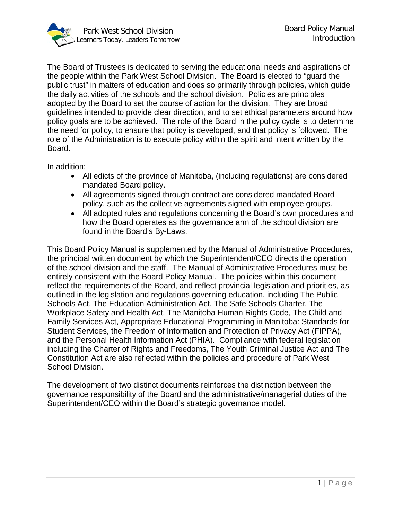

The Board of Trustees is dedicated to serving the educational needs and aspirations of the people within the Park West School Division. The Board is elected to "guard the public trust" in matters of education and does so primarily through policies, which guide the daily activities of the schools and the school division. Policies are principles adopted by the Board to set the course of action for the division. They are broad guidelines intended to provide clear direction, and to set ethical parameters around how policy goals are to be achieved. The role of the Board in the policy cycle is to determine the need for policy, to ensure that policy is developed, and that policy is followed. The role of the Administration is to execute policy within the spirit and intent written by the Board.

In addition:

- All edicts of the province of Manitoba, (including regulations) are considered mandated Board policy.
- All agreements signed through contract are considered mandated Board policy, such as the collective agreements signed with employee groups.
- All adopted rules and regulations concerning the Board's own procedures and how the Board operates as the governance arm of the school division are found in the Board's By-Laws.

This Board Policy Manual is supplemented by the Manual of Administrative Procedures, the principal written document by which the Superintendent/CEO directs the operation of the school division and the staff. The Manual of Administrative Procedures must be entirely consistent with the Board Policy Manual. The policies within this document reflect the requirements of the Board, and reflect provincial legislation and priorities, as outlined in the legislation and regulations governing education, including The Public Schools Act, The Education Administration Act, The Safe Schools Charter, The Workplace Safety and Health Act, The Manitoba Human Rights Code, The Child and Family Services Act, Appropriate Educational Programming in Manitoba: Standards for Student Services, the Freedom of Information and Protection of Privacy Act (FIPPA), and the Personal Health Information Act (PHIA). Compliance with federal legislation including the Charter of Rights and Freedoms, The Youth Criminal Justice Act and The Constitution Act are also reflected within the policies and procedure of Park West School Division.

The development of two distinct documents reinforces the distinction between the governance responsibility of the Board and the administrative/managerial duties of the Superintendent/CEO within the Board's strategic governance model.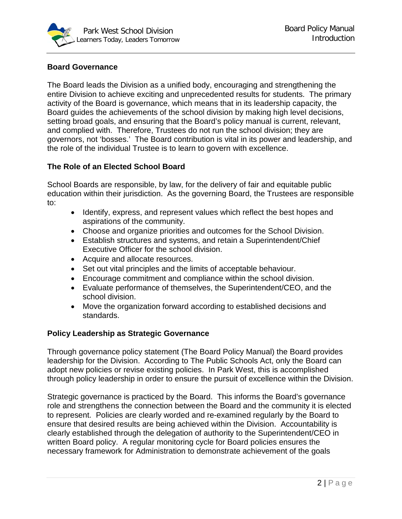

## **Board Governance**

The Board leads the Division as a unified body, encouraging and strengthening the entire Division to achieve exciting and unprecedented results for students. The primary activity of the Board is governance, which means that in its leadership capacity, the Board guides the achievements of the school division by making high level decisions, setting broad goals, and ensuring that the Board's policy manual is current, relevant, and complied with. Therefore, Trustees do not run the school division; they are governors, not 'bosses.' The Board contribution is vital in its power and leadership, and the role of the individual Trustee is to learn to govern with excellence.

## **The Role of an Elected School Board**

School Boards are responsible, by law, for the delivery of fair and equitable public education within their jurisdiction. As the governing Board, the Trustees are responsible to:

- Identify, express, and represent values which reflect the best hopes and aspirations of the community.
- Choose and organize priorities and outcomes for the School Division.
- Establish structures and systems, and retain a Superintendent/Chief Executive Officer for the school division.
- Acquire and allocate resources.
- Set out vital principles and the limits of acceptable behaviour.
- Encourage commitment and compliance within the school division.
- Evaluate performance of themselves, the Superintendent/CEO, and the school division.
- Move the organization forward according to established decisions and standards.

## **Policy Leadership as Strategic Governance**

Through governance policy statement (The Board Policy Manual) the Board provides leadership for the Division. According to The Public Schools Act, only the Board can adopt new policies or revise existing policies. In Park West, this is accomplished through policy leadership in order to ensure the pursuit of excellence within the Division.

Strategic governance is practiced by the Board. This informs the Board's governance role and strengthens the connection between the Board and the community it is elected to represent. Policies are clearly worded and re-examined regularly by the Board to ensure that desired results are being achieved within the Division. Accountability is clearly established through the delegation of authority to the Superintendent/CEO in written Board policy. A regular monitoring cycle for Board policies ensures the necessary framework for Administration to demonstrate achievement of the goals